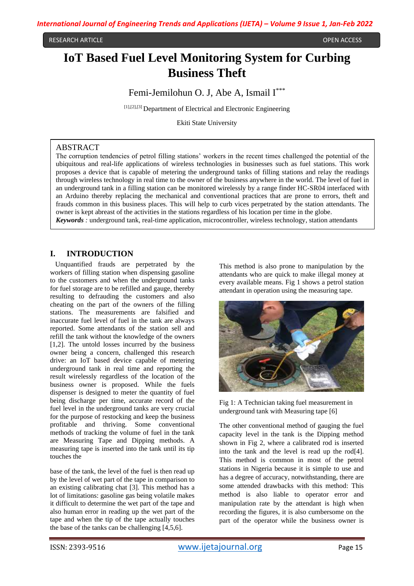#### RESEARCH ARTICLE OPEN ACCESS

# **IoT Based Fuel Level Monitoring System for Curbing Business Theft**

Femi-Jemilohun O. J, Abe A, Ismail I<sup>\*\*\*</sup>

[1],[2],[3] Department of Electrical and Electronic Engineering

Ekiti State University

#### ABSTRACT

The corruption tendencies of petrol filling stations' workers in the recent times challenged the potential of the ubiquitous and real-life applications of wireless technologies in businesses such as fuel stations. This work proposes a device that is capable of metering the underground tanks of filling stations and relay the readings through wireless technology in real time to the owner of the business anywhere in the world. The level of fuel in an underground tank in a filling station can be monitored wirelessly by a range finder HC-SR04 interfaced with an Arduino thereby replacing the mechanical and conventional practices that are prone to errors, theft and frauds common in this business places. This will help to curb vices perpetrated by the station attendants. The owner is kept abreast of the activities in the stations regardless of his location per time in the globe. *Keywords :* underground tank, real-time application, microcontroller, wireless technology, station attendants

#### **I. INTRODUCTION**

 Unquantified frauds are perpetrated by the workers of filling station when dispensing gasoline to the customers and when the underground tanks for fuel storage are to be refilled and gauge, thereby resulting to defrauding the customers and also cheating on the part of the owners of the filling stations. The measurements are falsified and inaccurate fuel level of fuel in the tank are always reported. Some attendants of the station sell and refill the tank without the knowledge of the owners [1,2]. The untold losses incurred by the business owner being a concern, challenged this research drive: an IoT based device capable of metering underground tank in real time and reporting the result wirelessly regardless of the location of the business owner is proposed. While the fuels dispenser is designed to meter the quantity of fuel being discharge per time, accurate record of the fuel level in the underground tanks are very crucial for the purpose of restocking and keep the business profitable and thriving. Some conventional methods of tracking the volume of fuel in the tank are Measuring Tape and Dipping methods. A measuring tape is inserted into the tank until its tip touches the

base of the tank, the level of the fuel is then read up by the level of wet part of the tape in comparison to an existing calibrating chat [3]. This method has a lot of limitations: gasoline gas being volatile makes it difficult to determine the wet part of the tape and also human error in reading up the wet part of the tape and when the tip of the tape actually touches the base of the tanks can be challenging [4,5,6].

This method is also prone to manipulation by the attendants who are quick to make illegal money at every available means. Fig 1 shows a petrol station attendant in operation using the measuring tape.



Fig 1: A Technician taking fuel measurement in underground tank with Measuring tape [6]

The other conventional method of gauging the fuel capacity level in the tank is the Dipping method shown in Fig 2, where a calibrated rod is inserted into the tank and the level is read up the rod[4]. This method is common in most of the petrol stations in Nigeria because it is simple to use and has a degree of accuracy, notwithstanding, there are some attended drawbacks with this method: This method is also liable to operator error and manipulation rate by the attendant is high when recording the figures, it is also cumbersome on the part of the operator while the business owner is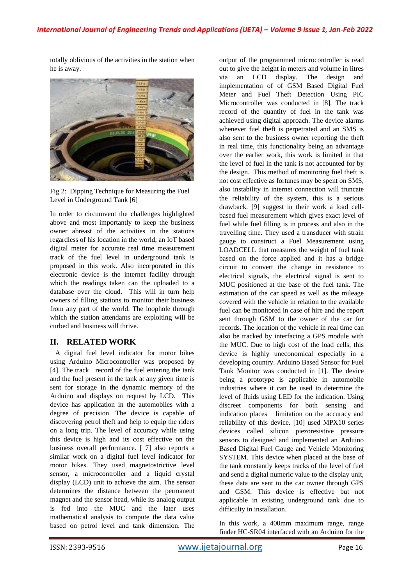totally oblivious of the activities in the station when he is away.



Fig 2: Dipping Technique for Measuring the Fuel Level in Underground Tank [6]

In order to circumvent the challenges highlighted above and most importantly to keep the business owner abreast of the activities in the stations regardless of his location in the world, an IoT based digital meter for accurate real time measurement track of the fuel level in underground tank is proposed in this work. Also incorporated in this electronic device is the internet facility through which the readings taken can the uploaded to a database over the cloud. This will in turn help owners of filling stations to monitor their business from any part of the world. The loophole through which the station attendants are exploiting will be curbed and business will thrive.

# **II. RELATED WORK**

 A digital fuel level indicator for motor bikes using Arduino Microcontroller was proposed by [4]. The track record of the fuel entering the tank and the fuel present in the tank at any given time is sent for storage in the dynamic memory of the Arduino and displays on request by LCD. This device has application in the automobiles with a degree of precision. The device is capable of discovering petrol theft and help to equip the riders on a long trip. The level of accuracy while using this device is high and its cost effective on the business overall performance. [ 7] also reports a similar work on a digital fuel level indicator for motor bikes. They used magnetostrictive level sensor, a microcontroller and a liquid crystal display (LCD) unit to achieve the aim. The sensor determines the distance between the permanent magnet and the sensor head, while its analog output is fed into the MUC and the later uses mathematical analysis to compute the data value based on petrol level and tank dimension. The

output of the programmed microcontroller is read out to give the height in meters and volume in litres via an LCD display. The design and implementation of of GSM Based Digital Fuel Meter and Fuel Theft Detection Using PIC Microcontroller was conducted in [8]*.* The track record of the quantity of fuel in the tank was achieved using digital approach. The device alarms whenever fuel theft is perpetrated and an SMS is also sent to the business owner reporting the theft in real time, this functionality being an advantage over the earlier work, this work is limited in that the level of fuel in the tank is not accounted for by the design. This method of monitoring fuel theft is not cost effective as fortunes may be spent on SMS, also instability in internet connection will truncate the reliability of the system, this is a serious drawback. [9] suggest in their work a load cellbased fuel measurement which gives exact level of fuel while fuel filling is in process and also in the travelling time. They used a transducer with strain gauge to construct a Fuel Measurement using LOADCELL that measures the weight of fuel tank based on the force applied and it has a bridge circuit to convert the change in resistance to electrical signals, the electrical signal is sent to MUC positioned at the base of the fuel tank. The estimation of the car speed as well as the mileage covered with the vehicle in relation to the available fuel can be monitored in case of hire and the report sent through GSM to the owner of the car for records. The location of the vehicle in real time can also be tracked by interfacing a GPS module with the MUC. Due to high cost of the load cells, this device is highly uneconomical especially in a developing country. Arduino Based Sensor for Fuel Tank Monitor was conducted in [1]. The device being a prototype is applicable in automobile industries where it can be used to determine the level of fluids using LED for the indication. Using discreet components for both sensing and indication places limitation on the accuracy and reliability of this device. [10] used MPX10 series devices called silicon piezoresistive pressure sensors to designed and implemented an Arduino Based Digital Fuel Gauge and Vehicle Monitoring SYSTEM. This device when placed at the base of the tank constantly keeps tracks of the level of fuel and send a digital numeric value to the display unit, these data are sent to the car owner through GPS and GSM. This device is effective but not applicable in existing underground tank due to difficulty in installation.

In this work, a 400mm maximum range, range finder HC-SR04 interfaced with an Arduino for the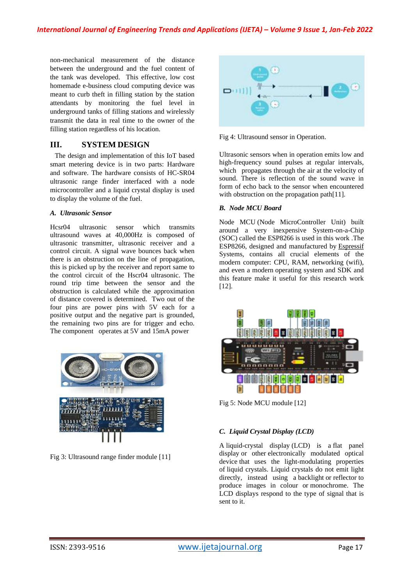non-mechanical measurement of the distance between the underground and the fuel content of the tank was developed. This effective, low cost homemade e-business cloud computing device was meant to curb theft in filling station by the station attendants by monitoring the fuel level in underground tanks of filling stations and wirelessly transmit the data in real time to the owner of the filling station regardless of his location.

## **III. SYSTEM DESIGN**

The design and implementation of this IoT based smart metering device is in two parts: Hardware and software. The hardware consists of HC-SR04 ultrasonic range finder interfaced with a node microcontroller and a liquid crystal display is used to display the volume of the fuel.

#### *A. Ultrasonic Sensor*

Hcsr04 ultrasonic sensor which transmits ultrasound waves at 40,000Hz is composed of ultrasonic transmitter, ultrasonic receiver and a control circuit. A signal wave bounces back when there is an obstruction on the line of propagation, this is picked up by the receiver and report same to the control circuit of the Hscr04 ultrasonic. The round trip time between the sensor and the obstruction is calculated while the approximation of distance covered is determined. Two out of the four pins are power pins with 5V each for a positive output and the negative part is grounded, the remaining two pins are for trigger and echo. The component operates at 5V and 15mA power



Fig 3: Ultrasound range finder module [11]



Fig 4: Ultrasound sensor in Operation.

Ultrasonic sensors when in operation emits low and high-frequency sound pulses at regular intervals, which propagates through the air at the velocity of sound. There is reflection of the sound wave in form of echo back to the sensor when encountered with obstruction on the propagation path[11].

#### *B. Node MCU Board*

Node [MCU](http://nodemcu.com/index_en.html) (Node MicroController Unit) built around a very inexpensive System-on-a-Chip (SOC) called the [ESP8266](https://en.wikipedia.org/wiki/ESP8266) is used in this work .The ESP8266, designed and manufactured by [Espressif](https://espressif.com/en/products/hardware/esp8266ex/overview) [Systems,](https://espressif.com/en/products/hardware/esp8266ex/overview) contains all crucial elements of the modern computer: CPU, RAM, networking (wifi), and even a modern [operating](http://bbs.espressif.com/) system and SDK and this feature make it useful for this research work [12].



Fig 5: Node MCU module [12]

## *C. Liquid Crystal Display (LCD)*

A liquid-crystal display (LCD) is a [flat panel](https://en.wikipedia.org/wiki/Flat_panel_display)  [display](https://en.wikipedia.org/wiki/Flat_panel_display) or other [electronically modulated optical](https://en.wikipedia.org/wiki/Electro-optic_modulator)  [device](https://en.wikipedia.org/wiki/Electro-optic_modulator) that uses the light-modulating properties of [liquid crystals.](https://en.wikipedia.org/wiki/Liquid_crystal) Liquid crystals do not emit light directly, instead using a [backlight](https://en.wikipedia.org/wiki/Backlight) or [reflector](https://en.wikipedia.org/wiki/Reflector_(photography)) to produce images in colour or [monochrome.](https://en.wikipedia.org/wiki/Monochrome) The LCD displays respond to the type of signal that is sent to it.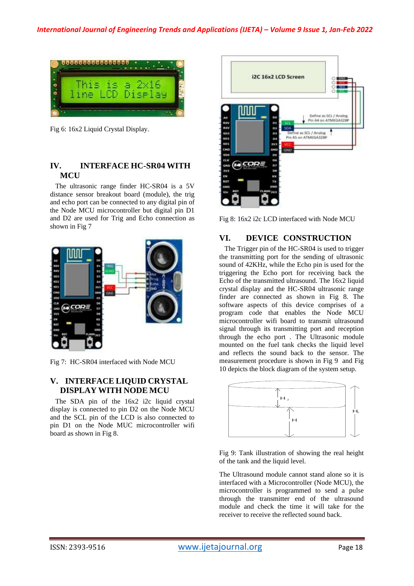

Fig 6: 16x2 Liquid Crystal Display.

# **IV. INTERFACE HC-SR04 WITH MCU**

 The ultrasonic range finder HC-SR04 is a 5V distance sensor breakout board (module), the trig and echo port can be connected to any digital pin of the Node MCU microcontroller but digital pin D1 and D2 are used for Trig and Echo connection as shown in Fig 7



Fig 7: HC-SR04 interfaced with Node MCU

# **V. INTERFACE LIQUID CRYSTAL DISPLAY WITH NODE MCU**

 The SDA pin of the 16x2 i2c liquid crystal display is connected to pin D2 on the Node MCU and the SCL pin of the LCD is also connected to pin D1 on the Node MUC microcontroller wifi board as shown in Fig 8.



Fig 8: 16x2 i2c LCD interfaced with Node MCU

# **VI. DEVICE CONSTRUCTION**

 The Trigger pin of the HC-SR04 is used to trigger the transmitting port for the sending of ultrasonic sound of 42KHz, while the Echo pin is used for the triggering the Echo port for receiving back the Echo of the transmitted ultrasound. The 16x2 liquid crystal display and the HC-SR04 ultrasonic range finder are connected as shown in Fig 8. The software aspects of this device comprises of a program code that enables the Node MCU microcontroller wifi board to transmit ultrasound signal through its transmitting port and reception through the echo port . The Ultrasonic module mounted on the fuel tank checks the liquid level and reflects the sound back to the sensor. The measurement procedure is shown in Fig 9 and Fig 10 depicts the block diagram of the system setup.



Fig 9: Tank illustration of showing the real height of the tank and the liquid level.

The Ultrasound module cannot stand alone so it is interfaced with a Microcontroller (Node MCU), the microcontroller is programmed to send a pulse through the transmitter end of the ultrasound module and check the time it will take for the receiver to receive the reflected sound back.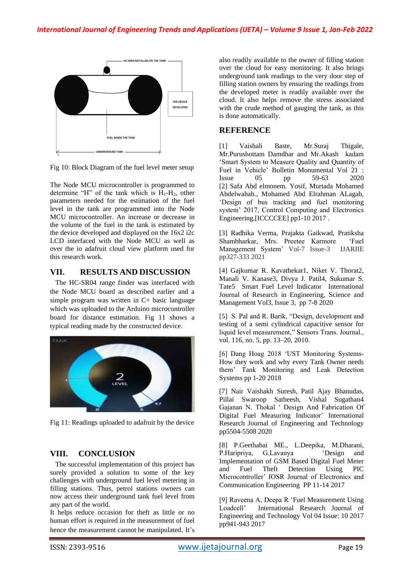

Fig 10: Block Diagram of the fuel level meter setup

The Node MCU microcontroller is programmed to determine "H" of the tank which is  $H_1-H_2$ , other parameters needed for the estimation of the fuel level in the tank are programmed into the Node MCU microcontroller. An increase or decrease in the volume of the fuel in the tank is estimated by the device developed and displayed on the 16x2 i2c LCD interfaced with the Node MCU as well as over the io adafruit cloud view platform used for this research work.

## **VII. RESULTS AND DISCUSSION**

 The HC-SR04 range finder was interfaced with the Node MCU board as described earlier and a simple program was written in C+ basic language which was uploaded to the Arduino microcontroller board for distance estimation. Fig 11 shows a typical reading made by the constructed device.



Fig 11: Readings uploaded to adafruit by the device

## **VIII. CONCLUSION**

 The successful implementation of this project has surely provided a solution to some of the key challenges with underground fuel level metering in filling stations. Thus, petrol stations owners can now access their underground tank fuel level from any part of the world.

It helps reduce occasion for theft as little or no human effort is required in the measurement of fuel hence the measurement cannot be manipulated. It's also readily available to the owner of filling station over the cloud for easy monitoring. It also brings underground tank readings to the very door step of filling station owners by ensuring the readings from the developed meter is readily available over the cloud. It also helps remove the stress associated with the crude method of gauging the tank, as this is done automatically.

### **REFERENCE**

[1] Vaishali Baste, Mr.Suraj Thigale, Mr.Purushottam Damdhar and Mr.Akash kadam 'Smart System to Measure Quality and Quantity of Fuel in Vehicle' Bulletin Monumental Vol 21 : Issue 05 pp 59-63 2020 [2] Safa Abd elmonem. Yosif, Murtada Mohamed Abdelwahab., Mohamed Abd Elrahman ALagab, 'Design of bus tracking and fuel monitoring system' 2017, Control Computing and Electronics Engineering.[ICCCCEE] pp1-10 2017.

[3] Radhika Verma, Prajakta Gaikwad, Pratiksha Shambharkar, Mrs. Preetee Karmore 'Fuel Management System' Vol-7 Issue-3 IJARIIE pp327-333 2021

[4] Gajkumar R. Kavathekar1, Niket V. Thorat2, Manali V. Kanase3, Divya J. Patil4, Sukumar S. Tate5 Smart Fuel Level Indicator International Journal of Research in Engineering, Science and Management Vol3, Issue 3, pp 7-8 2020

[5] S. Pal and R. Barik, "Design, development and testing of a semi cylindrical capacitive sensor for liquid level measurement," Sensors Trans. Journal., vol. 116, no. 5, pp. 13–20, 2010.

[6] Dang Hoag 2018 'UST Monitoring Systems-How they work and why every Tank Owner needs them' Tank Monitoring and Leak Detection Systems pp 1-20 2018

[7] Nair Vaishakh Suresh, Patil Ajay Bhanudas, Pillai Swaroop Satheesh, Vishal Sugathan4 Gajanan N. Thokal ' Design And Fabrication Of Digital Fuel Measuring Indicator' International Research Journal of Engineering and Technology pp5504-5508 2020

[8] P.Geethabai ME., L.Deepika, M.Dharani, P.Haripriya, G.Lavanya 'Design and Implementation of GSM Based Digital Fuel Meter<br>and Fuel Theft Detection Using PIC and Fuel Theft Detection Using PIC Microcontroller' IOSR Journal of Electronics and Communication Engineering PP 11-14 2017

[9] Raveena A, Deepa R 'Fuel Measurement Using Loadcell' International Research Journal of Engineering and Technology Vol 04 Issue: 10 2017 pp941-943 2017